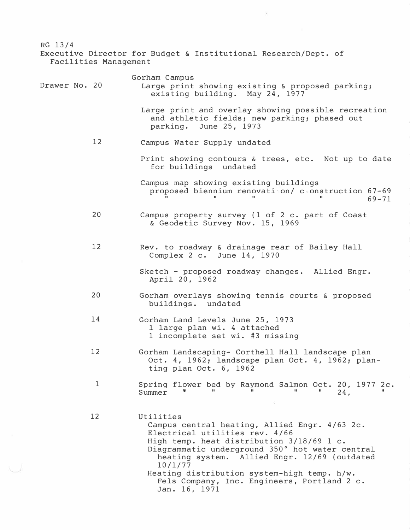| RG 13/4<br>Facilities Management | Executive Director for Budget & Institutional Research/Dept. of                                                                                                                                                                                                                                                                                                        |
|----------------------------------|------------------------------------------------------------------------------------------------------------------------------------------------------------------------------------------------------------------------------------------------------------------------------------------------------------------------------------------------------------------------|
| Drawer No. 20                    | Gorham Campus<br>Large print showing existing & proposed parking;<br>existing building. May 24, 1977                                                                                                                                                                                                                                                                   |
|                                  | Large print and overlay showing possible recreation<br>and athletic fields; new parking; phased out<br>June 25, 1973<br>parking.                                                                                                                                                                                                                                       |
| 12                               | Campus Water Supply undated                                                                                                                                                                                                                                                                                                                                            |
|                                  | Print showing contours & trees, etc. Not up to date<br>for buildings undated                                                                                                                                                                                                                                                                                           |
|                                  | Campus map showing existing buildings<br>proposed biennium renovation/ construction 67-69<br>$69 - 71$                                                                                                                                                                                                                                                                 |
| 20                               | Campus property survey (1 of 2 c. part of Coast<br>& Geodetic Survey Nov. 15, 1969                                                                                                                                                                                                                                                                                     |
| 12                               | Rev. to roadway & drainage rear of Bailey Hall<br>Complex 2 c. June 14, 1970                                                                                                                                                                                                                                                                                           |
|                                  | Sketch - proposed roadway changes. Allied Engr.<br>April 20, 1962                                                                                                                                                                                                                                                                                                      |
| 20                               | Gorham overlays showing tennis courts & proposed<br>buildings. undated                                                                                                                                                                                                                                                                                                 |
| 14                               | Gorham Land Levels June 25, 1973<br>1 large plan wi. 4 attached<br>1 incomplete set wi. #3 missing                                                                                                                                                                                                                                                                     |
| 12                               | Gorham Landscaping- Corthell Hall landscape plan<br>Oct. 4, 1962; landscape plan Oct. 4, 1962; plan-<br>ting plan Oct. 6, 1962                                                                                                                                                                                                                                         |
| $\mathbf{1}$                     | Spring flower bed by Raymond Salmon Oct. 20, 1977 2c.<br>ш.<br>Summer<br>24.                                                                                                                                                                                                                                                                                           |
| 12                               | Utilities<br>Campus central heating, Allied Engr. 4/63 2c.<br>Electrical utilities rev. 4/66<br>High temp. heat distribution 3/18/69 1 c.<br>Diagrammatic underground 350° hot water central<br>heating system. Allied Engr. 12/69 (outdated<br>10/1/77<br>Heating distribution system-high temp. h/w.<br>Fels Company, Inc. Engineers, Portland 2 c.<br>Jan. 16, 1971 |

 $\cup$ 

 $\overline{\mathbb{R}}$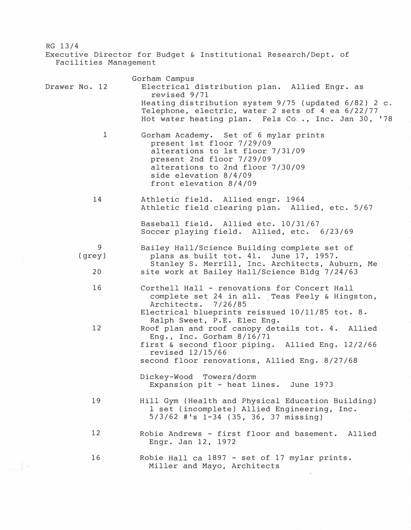RG 13/4 Executive Director for Budget & Institutional Research/Dept. of Facilities Management Drawer No. 12 1 14 9 (grey) 20 16 12 19 12 16 Gorham Campus Electrical distribution plan. Allied Engr. as revised 9/71 Heating distribution system 9/75 (updated 6/82) 2 c. Telephone, electric, water 2 sets of 4 ea 6/22/77 Hot water heating plan. Fels Co ... Inc. Jan 30, '78 Gorham Academy. Set of 6 mylar prints present 1st floor 7/29/09 alterations to 1st floor 7/31/09 present 2nd floor 7/29/09 alterations to 2nd floor 7/30/09 side elevation 8/4/09 front elevation 8/4/09 Athletic field. Allied engr. 1964 Athletic field clearing plan. Allied, etc. 5/67 Baseball field. Allied etc. 10/31/67 Soccer playing field. Allied, etc. 6/23/69 Bailey Hall/Science Building complete set of plans as built tot. 41. June 17, 1957. Stanley S. Merrill, Inc. Architects, Auburn, Me site work at Bailey Hall/Science Bldg 7/24/63 Corthell Hall - renovations for Concert Hall complete set 24 in all. Teas Feely & Hingston,<br>Architects. 7/26/85 Architects. Electrical blueprints reissued 10/11/85 tot. 8. Ralph Sweet, P.E. Elec Eng. Roof plan and roof canopy details tot. 4. Allied Eng., Inc. Gorham 8/16/71 first & second floor piping. Allied Eng. 12/2/66 revised 12/15/66 second floor renovations, Allied Eng. 8/27/68 Dickey-Wood Towers/dorm Expansion pit - heat lines. June 1973 Hill Gym (Health and Physical Education Building) 1 set (incomplete) Allied Engineering, Inc. 5/3/62 #'s 1-34 (35, 36, 37 missing) Robie Andrews - first floor and basement. Allied Engr. Jan 12, 1972 Robie Hall ca 1897 - set of 17 mylar prints. Miller and Mayo, Architects

والمسا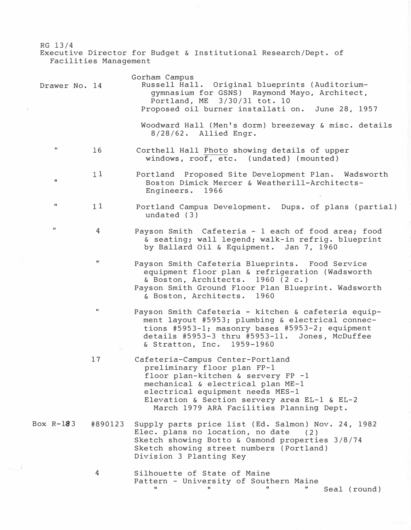RG 13/4 Executive Director for Budget **&** Institutional Research/Dept. of Facilities Management

| Drawer No. 14        |              | Gorham Campus<br>Russell Hall. Original blueprints (Auditorium-<br>gymnasium for GSNS) Raymond Mayo, Architect,<br>Portland, ME 3/30/31 tot. 10<br>Proposed oil burner installation. June 28, 1957                                                                         |
|----------------------|--------------|----------------------------------------------------------------------------------------------------------------------------------------------------------------------------------------------------------------------------------------------------------------------------|
|                      |              | Woodward Hall (Men's dorm) breezeway & misc. details<br>$8/28/62$ . Allied Engr.                                                                                                                                                                                           |
| 93                   | 16           | Corthell Hall Photo showing details of upper<br>windows, roof, etc. (undated) (mounted)                                                                                                                                                                                    |
| $\mathbf{u}$         | 11           | Portland Proposed Site Development Plan. Wadsworth<br>Boston Dimick Mercer & Weatherill-Architects-<br>Engineers. 1966                                                                                                                                                     |
| $\pmb{\mathfrak{u}}$ | 11           | Portland Campus Development. Dups. of plans (partial)<br>undated $(3)$                                                                                                                                                                                                     |
| $\mathbf{H}$         | 4            | Payson Smith Cafeteria - 1 each of food area; food<br>& seating; wall legend; walk-in refrig. blueprint<br>by Ballard Oil & Equipment. Jan 7, 1960                                                                                                                         |
|                      | $\mathbb{H}$ | Payson Smith Cafeteria Blueprints. Food Service<br>equipment floor plan & refrigeration (Wadsworth<br>& Boston, Architects. 1960 (2 c.)<br>Payson Smith Ground Floor Plan Blueprint. Wadsworth<br>& Boston, Architects. 1960                                               |
|                      | $\mathbf{H}$ | Payson Smith Cafeteria - kitchen & cafeteria equip-<br>ment layout #5953; plumbing & electrical connec-<br>tions #5953-1; masonry bases #5953-2; equipment<br>details #5953-3 thru #5953-11. Jones, McDuffee<br>& Stratton, Inc. 1959-1960                                 |
|                      | 17           | Cafeteria-Campus Center-Portland<br>preliminary floor plan FP-1<br>floor plan-kitchen & servery FP -1<br>mechanical & electrical plan ME-1<br>electrical equipment needs MES-1<br>Elevation & Section servery area EL-1 & EL-2<br>March 1979 ARA Facilities Planning Dept. |
| Box R-183            | #890123      | Supply parts price list (Ed. Salmon) Nov. 24, 1982<br>Elec. plans no location, no date<br>(2)<br>Sketch showing Botto & Osmond properties 3/8/74<br>Sketch showing street numbers (Portland)<br>Division 3 Planting Key                                                    |
|                      | 4            | Silhouette of State of Maine<br>Pattern - University of Southern Maine                                                                                                                                                                                                     |

 $\sim 1$ 

II II II II Seal (round)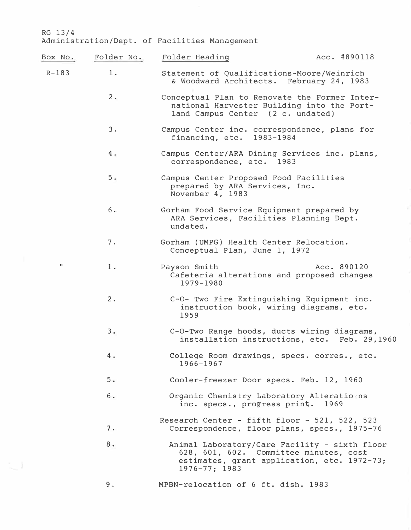$\mathbb{S}_{\mathbb{Z}_2}$  )

| Box No.        | Folder No. | Folder Heading                                                                                                                                               | Acc. #890118 |
|----------------|------------|--------------------------------------------------------------------------------------------------------------------------------------------------------------|--------------|
| $R - 183$      | $1$ .      | Statement of Qualifications-Moore/Weinrich<br>& Woodward Architects. February 24, 1983                                                                       |              |
|                | $2$ .      | Conceptual Plan to Renovate the Former Inter-<br>national Harvester Building into the Port-<br>land Campus Center (2 c. undated)                             |              |
|                | 3.         | Campus Center inc. correspondence, plans for<br>financing, etc. 1983-1984                                                                                    |              |
|                | 4.7        | Campus Center/ARA Dining Services inc. plans,<br>correspondence, etc. 1983                                                                                   |              |
|                | 5.         | Campus Center Proposed Food Facilities<br>prepared by ARA Services, Inc.<br>November 4, 1983                                                                 |              |
|                | $6 -$      | Gorham Food Service Equipment prepared by<br>ARA Services, Facilities Planning Dept.<br>undated.                                                             |              |
|                | 7.         | Gorham (UMPG) Health Center Relocation.<br>Conceptual Plan, June 1, 1972                                                                                     |              |
| $\blacksquare$ | 1.         | Payson Smith<br>Cafeteria alterations and proposed changes<br>1979-1980                                                                                      | Acc. 890120  |
|                | 2.         | C-O- Two Fire Extinguishing Equipment inc.<br>instruction book, wiring diagrams, etc.<br>1959                                                                |              |
|                | 3.         | C-O-Two Range hoods, ducts wiring diagrams,<br>installation instructions, etc. Feb. 29,1960                                                                  |              |
|                | 4.         | College Room drawings, specs. corres., etc.<br>1966-1967                                                                                                     |              |
|                | 5.         | Cooler-freezer Door specs. Feb. 12, 1960                                                                                                                     |              |
|                | 6.         | Organic Chemistry Laboratory Alterations<br>inc. specs., progress print.                                                                                     | 1969         |
|                | 7.         | Research Center - fifth floor $-521$ , 522, 523<br>Correspondence, floor plans, specs., 1975-76                                                              |              |
|                | 8.         | Animal Laboratory/Care Facility - sixth floor<br>628, 601, 602. Committee minutes, cost<br>estimates, grant application, etc. 1972-73;<br>$1976 - 77$ ; 1983 |              |
|                | 9.         | MPBN-relocation of 6 ft. dish. 1983                                                                                                                          |              |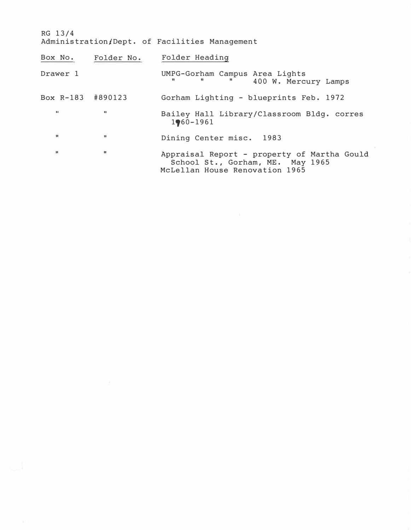RG 13/4 Administration/Dept. of Facilities Management

| Box No.           |              | Folder No. Folder Heading                                                                                         |  |
|-------------------|--------------|-------------------------------------------------------------------------------------------------------------------|--|
| Drawer 1          |              | UMPG-Gorham Campus Area Lights<br>$\mathbf{u}$<br>400 W. Mercury Lamps                                            |  |
| Box R-183 #890123 |              | Gorham Lighting - blueprints Feb. 1972                                                                            |  |
| $\mathbf{H}$      | $\mathbf{H}$ | Bailey Hall Library/Classroom Bldg. corres<br>$1960 - 1961$                                                       |  |
| W.                | ŧ            | Dining Center misc. 1983                                                                                          |  |
| $\mathbf{H}$      | $\mathbf{u}$ | Appraisal Report - property of Martha Gould<br>School St., Gorham, ME. May 1965<br>McLellan House Renovation 1965 |  |

 $\chi$ 

 $\tilde{K}$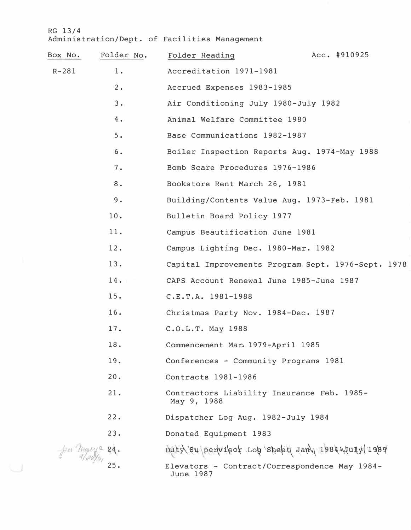u

| Box No.   | Folder No. | Folder Heading                                             | Acc. #910925 |
|-----------|------------|------------------------------------------------------------|--------------|
| $R - 281$ | $1$ .      | Accreditation 1971-1981                                    |              |
|           | 2.         | Accrued Expenses 1983-1985                                 |              |
|           | 3.         | Air Conditioning July 1980-July 1982                       |              |
|           | 4.         | Animal Welfare Committee 1980                              |              |
|           | 5.         | Base Communications 1982-1987                              |              |
|           | $6\,$ .    | Boiler Inspection Reports Aug. 1974-May 1988               |              |
|           | 7.         | Bomb Scare Procedures 1976-1986                            |              |
|           | 8.         | Bookstore Rent March 26, 1981                              |              |
|           | 9.         | Building/Contents Value Aug. 1973-Feb. 1981                |              |
|           | 10.        | Bulletin Board Policy 1977                                 |              |
|           | 11.        | Campus Beautification June 1981                            |              |
|           | 12.        | Campus Lighting Dec. 1980-Mar. 1982                        |              |
|           | 13.        | Capital Improvements Program Sept. 1976-Sept. 1978         |              |
|           | 14.        | CAPS Account Renewal June 1985-June 1987                   |              |
|           | 15.        | C.E.T.A. 1981-1988                                         |              |
|           | 16.        | Christmas Party Nov. 1984-Dec. 1987                        |              |
|           | 17.        | C.O.L.T. May 1988                                          |              |
|           | 18.        | Commencement Mar. 1979-April 1985                          |              |
|           | 19.        | Conferences - Community Programs 1981                      |              |
|           | 20.        | Contracts 1981-1986                                        |              |
|           | 21.        | Contractors Liability Insurance Feb. 1985-<br>May 9, 1988  |              |
|           | 22.        | Dispatcher Log Aug. 1982-July 1984                         |              |
|           | 23.        | Donated Equipment 1983                                     |              |
| $\mu$ Ran |            | Düty su pervisot ron speet Jan 1984 tuly 1989              |              |
|           |            | Elevators - Contract/Correspondence May 1984-<br>June 1987 |              |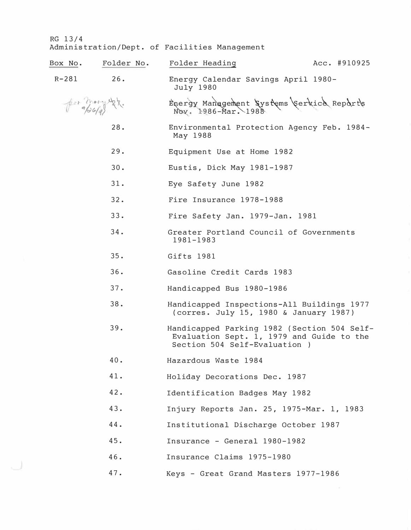|           | Box No. Folder No. | Folder Heading                                                                                                            | Acc. #910925 |
|-----------|--------------------|---------------------------------------------------------------------------------------------------------------------------|--------------|
| $R - 281$ | 26.                | Energy Calendar Savings April 1980-<br><b>July 1980</b>                                                                   |              |
|           | $f = \frac{1}{2}$  | Energy Management Systems (service Reports                                                                                |              |
|           | 28.                | Environmental Protection Agency Feb. 1984-<br>May 1988                                                                    |              |
|           | 29.                | Equipment Use at Home 1982                                                                                                |              |
|           | 30.                | Eustis, Dick May 1981-1987                                                                                                |              |
|           | 31.                | Eye Safety June 1982                                                                                                      |              |
|           | 32.                | Fire Insurance 1978-1988                                                                                                  |              |
|           | 33.                | Fire Safety Jan. 1979-Jan. 1981                                                                                           |              |
|           | 34.                | Greater Portland Council of Governments<br>1981-1983                                                                      |              |
|           | 35.                | Gifts 1981                                                                                                                |              |
|           | 36.                | Gasoline Credit Cards 1983                                                                                                |              |
|           | 37.                | Handicapped Bus 1980-1986                                                                                                 |              |
|           | 38.                | Handicapped Inspections-All Buildings 1977<br>(corres. July 15, 1980 & January 1987)                                      |              |
|           | 39.                | Handicapped Parking 1982 (Section 504 Self-<br>Evaluation Sept. 1, 1979 and Guide to the<br>Section 504 Self-Evaluation ) |              |
|           | 40.                | Hazardous Waste 1984                                                                                                      |              |
|           | 41.                | Holiday Decorations Dec. 1987                                                                                             |              |
|           | 42.                | Identification Badges May 1982                                                                                            |              |
|           | 43.                | Injury Reports Jan. 25, 1975-Mar. 1, 1983                                                                                 |              |
|           | 44.                | Institutional Discharge October 1987                                                                                      |              |
|           | 45.                | Insurance - General 1980-1982                                                                                             |              |
|           | 46.                | Insurance Claims 1975-1980                                                                                                |              |
|           | 47.                | Keys - Great Grand Masters 1977-1986                                                                                      |              |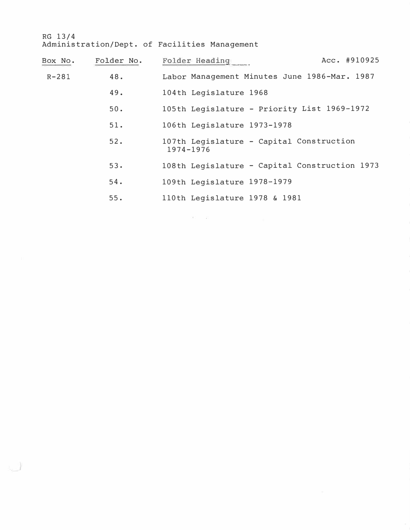لى.

| Box No.   | Folder No. | Acc. #910925<br>Folder Heading                        |
|-----------|------------|-------------------------------------------------------|
| $R - 281$ | 48.        | Labor Management Minutes June 1986-Mar. 1987          |
|           | 49.        | 104th Legislature 1968                                |
|           | 50.        | 105th Legislature - Priority List 1969-1972           |
|           | 51.        | 106th Legislature 1973-1978                           |
|           | 52.        | 107th Legislature - Capital Construction<br>1974-1976 |
|           | 53.        | 108th Legislature - Capital Construction 1973         |
|           | 54.        | 109th Legislature 1978-1979                           |
|           | 55.        | 110th Legislature 1978 & 1981                         |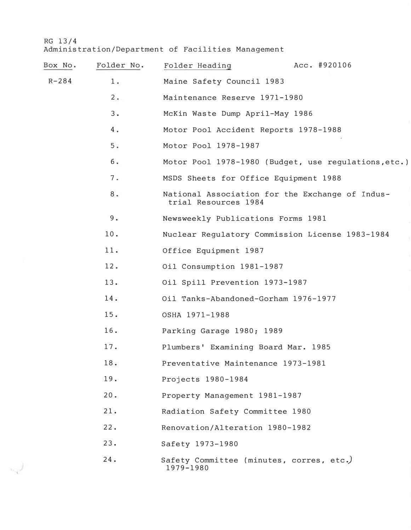ليء

| Box No.   | Folder No. | Folder Heading                                        | Acc. #920106                                         |
|-----------|------------|-------------------------------------------------------|------------------------------------------------------|
| $R - 284$ | 1.         | Maine Safety Council 1983                             |                                                      |
|           | $2 \cdot$  | Maintenance Reserve 1971-1980                         |                                                      |
|           | 3.         | McKin Waste Dump April-May 1986                       |                                                      |
|           | 4.         | Motor Pool Accident Reports 1978-1988                 |                                                      |
|           | 5.         | Motor Pool 1978-1987                                  |                                                      |
|           | б.         |                                                       | Motor Pool 1978-1980 (Budget, use regulations, etc.) |
|           | 7.         | MSDS Sheets for Office Equipment 1988                 |                                                      |
|           | 8.         | trial Resources 1984                                  | National Association for the Exchange of Indus-      |
|           | 9.         | Newsweekly Publications Forms 1981                    |                                                      |
|           | 10.        |                                                       | Nuclear Regulatory Commission License 1983-1984      |
|           | 11.        | Office Equipment 1987                                 |                                                      |
|           | 12.        | Oil Consumption 1981-1987                             |                                                      |
|           | 13.        | Oil Spill Prevention 1973-1987                        |                                                      |
|           | 14.        | Oil Tanks-Abandoned-Gorham 1976-1977                  |                                                      |
|           | 15.        | OSHA 1971-1988                                        |                                                      |
|           | 16.        | Parking Garage 1980; 1989                             |                                                      |
|           | 17.        | Plumbers' Examining Board Mar. 1985                   |                                                      |
|           | 18.        | Preventative Maintenance 1973-1981                    |                                                      |
|           | 19.        | Projects 1980-1984                                    |                                                      |
|           | 20.        | Property Management 1981-1987                         |                                                      |
|           | 21.        | Radiation Safety Committee 1980                       |                                                      |
|           | 22.        | Renovation/Alteration 1980-1982                       |                                                      |
|           | 23.        | Safety 1973-1980                                      |                                                      |
|           | 24.        | Safety Committee (minutes, corres, etc.)<br>1979-1980 |                                                      |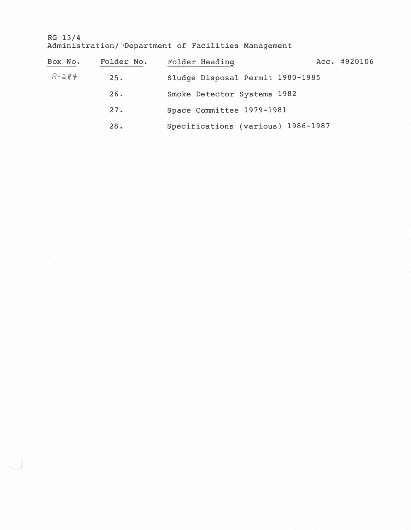RG 13/4 Administration/ Department of Facilities Management

لت

| Box No.   | Folder No. | Folder Heading                     | Acc. #920106 |
|-----------|------------|------------------------------------|--------------|
| $R - 284$ | 25.        | Sludge Disposal Permit 1980-1985   |              |
|           | 26.        | Smoke Detector Systems 1982        |              |
|           | 27.        | Space Committee 1979-1981          |              |
|           | 28.        | Specifications (various) 1986-1987 |              |